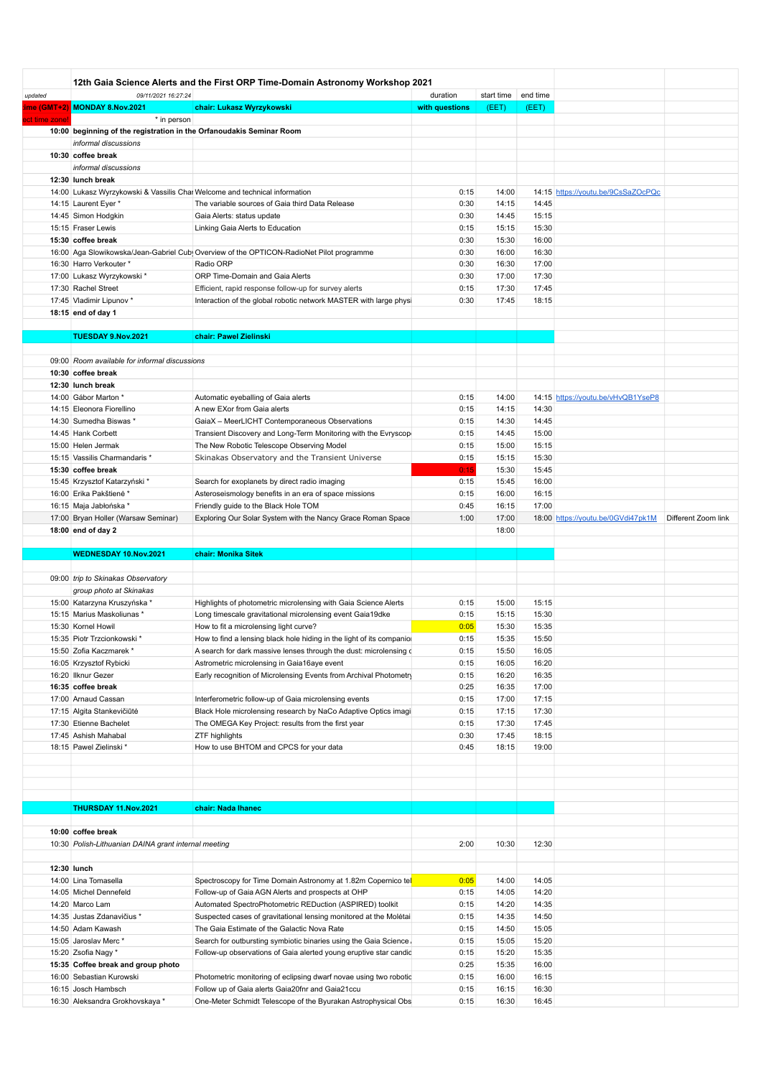|              | 12th Gaia Science Alerts and the First ORP Time-Domain Astronomy Workshop 2021 |                                                                                         |                |            |          |                                    |                     |
|--------------|--------------------------------------------------------------------------------|-----------------------------------------------------------------------------------------|----------------|------------|----------|------------------------------------|---------------------|
| updated      | 09/11/2021 16:27:24                                                            |                                                                                         | duration       | start time | end time |                                    |                     |
|              | me (GMT+2) MONDAY 8.Nov.2021                                                   | chair: Lukasz Wyrzykowski                                                               | with questions | (EET)      | (EET)    |                                    |                     |
| ct time zone | * in person                                                                    |                                                                                         |                |            |          |                                    |                     |
|              | 10:00 beginning of the registration in the Orfanoudakis Seminar Room           |                                                                                         |                |            |          |                                    |                     |
|              | informal discussions                                                           |                                                                                         |                |            |          |                                    |                     |
|              | 10:30 coffee break                                                             |                                                                                         |                |            |          |                                    |                     |
|              | informal discussions                                                           |                                                                                         |                |            |          |                                    |                     |
|              | 12:30 lunch break                                                              |                                                                                         |                |            |          |                                    |                     |
|              |                                                                                | 14:00 Lukasz Wyrzykowski & Vassilis Chai Welcome and technical information              | 0:15           | 14:00      |          | 14:15 https://youtu.be/9CsSaZOcPQc |                     |
|              |                                                                                |                                                                                         | 0:30           | 14:15      | 14:45    |                                    |                     |
|              | 14:15 Laurent Eyer *                                                           | The variable sources of Gaia third Data Release                                         |                |            |          |                                    |                     |
|              | 14:45 Simon Hodgkin                                                            | Gaia Alerts: status update                                                              | 0:30           | 14:45      | 15:15    |                                    |                     |
|              | 15:15 Fraser Lewis                                                             | Linking Gaia Alerts to Education                                                        | 0:15           | 15:15      | 15:30    |                                    |                     |
|              | 15:30 coffee break                                                             |                                                                                         | 0:30           | 15:30      | 16:00    |                                    |                     |
|              |                                                                                | 16:00 Aga Slowikowska/Jean-Gabriel Cub Overview of the OPTICON-RadioNet Pilot programme | 0:30           | 16:00      | 16:30    |                                    |                     |
|              | 16:30 Harro Verkouter *                                                        | Radio ORP                                                                               | 0:30           | 16:30      | 17:00    |                                    |                     |
|              | 17:00 Lukasz Wyrzykowski *                                                     | ORP Time-Domain and Gaia Alerts                                                         | 0:30           | 17:00      | 17:30    |                                    |                     |
|              | 17:30 Rachel Street                                                            | Efficient, rapid response follow-up for survey alerts                                   | 0:15           | 17:30      | 17:45    |                                    |                     |
|              | 17:45 Vladimir Lipunov *                                                       | Interaction of the global robotic network MASTER with large physi                       | 0:30           | 17:45      | 18:15    |                                    |                     |
|              | 18:15 end of day 1                                                             |                                                                                         |                |            |          |                                    |                     |
|              |                                                                                |                                                                                         |                |            |          |                                    |                     |
|              | TUESDAY 9.Nov.2021                                                             | chair: Pawel Zielinski                                                                  |                |            |          |                                    |                     |
|              |                                                                                |                                                                                         |                |            |          |                                    |                     |
|              | 09:00 Room available for informal discussions                                  |                                                                                         |                |            |          |                                    |                     |
|              |                                                                                |                                                                                         |                |            |          |                                    |                     |
|              | 10:30 coffee break                                                             |                                                                                         |                |            |          |                                    |                     |
|              | 12:30 lunch break                                                              |                                                                                         |                |            |          |                                    |                     |
|              | 14:00 Gábor Marton *                                                           | Automatic eyeballing of Gaia alerts                                                     | 0:15           | 14:00      |          | 14:15 https://youtu.be/vHvQB1YseP8 |                     |
|              | 14:15 Eleonora Fiorellino                                                      | A new EXor from Gaia alerts                                                             | 0:15           | 14:15      | 14:30    |                                    |                     |
|              | 14:30 Sumedha Biswas *                                                         | GaiaX - MeerLICHT Contemporaneous Observations                                          | 0:15           | 14:30      | 14:45    |                                    |                     |
|              | 14:45 Hank Corbett                                                             | Transient Discovery and Long-Term Monitoring with the Evryscop                          | 0:15           | 14:45      | 15:00    |                                    |                     |
|              | 15:00 Helen Jermak                                                             | The New Robotic Telescope Observing Model                                               | 0:15           | 15:00      | 15:15    |                                    |                     |
|              | 15:15 Vassilis Charmandaris *                                                  | Skinakas Observatory and the Transient Universe                                         | 0:15           | 15:15      | 15:30    |                                    |                     |
|              | 15:30 coffee break                                                             |                                                                                         | 0:15           | 15:30      | 15:45    |                                    |                     |
|              | 15:45 Krzysztof Katarzyński *                                                  | Search for exoplanets by direct radio imaging                                           | 0:15           | 15:45      | 16:00    |                                    |                     |
|              | 16:00 Erika Pakštienė *                                                        | Asteroseismology benefits in an era of space missions                                   | 0:15           | 16:00      | 16:15    |                                    |                     |
|              |                                                                                |                                                                                         | 0:45           |            | 17:00    |                                    |                     |
|              | 16:15 Maja Jabłońska*                                                          | Friendly guide to the Black Hole TOM                                                    |                | 16:15      |          |                                    |                     |
|              | 17:00 Bryan Holler (Warsaw Seminar)                                            | Exploring Our Solar System with the Nancy Grace Roman Space                             | 1:00           | 17:00      |          | 18:00 https://youtu.be/0GVdi47pk1M | Different Zoom link |
|              | 18:00 end of day 2                                                             |                                                                                         |                | 18:00      |          |                                    |                     |
|              |                                                                                |                                                                                         |                |            |          |                                    |                     |
|              | WEDNESDAY 10.Nov.2021                                                          | chair: Monika Sitek                                                                     |                |            |          |                                    |                     |
|              |                                                                                |                                                                                         |                |            |          |                                    |                     |
|              | 09:00 trip to Skinakas Observatory                                             |                                                                                         |                |            |          |                                    |                     |
|              | group photo at Skinakas                                                        |                                                                                         |                |            |          |                                    |                     |
|              | 15:00 Katarzyna Kruszyńska *                                                   | Highlights of photometric microlensing with Gaia Science Alerts                         | 0:15           | 15:00      | 15:15    |                                    |                     |
|              | 15:15 Marius Maskoliunas *                                                     | Long timescale gravitational microlensing event Gaia19dke                               | 0:15           | 15:15      | 15:30    |                                    |                     |
|              |                                                                                |                                                                                         |                |            |          |                                    |                     |
|              | 15:30 Kornel Howil                                                             | How to fit a microlensing light curve?                                                  | 0:05           | 15:30      | 15:35    |                                    |                     |
|              | 15:35 Piotr Trzcionkowski *                                                    | How to find a lensing black hole hiding in the light of its companion                   | 0:15           | 15:35      | 15:50    |                                    |                     |
|              |                                                                                |                                                                                         |                |            |          |                                    |                     |
|              | 15:50 Zofia Kaczmarek *                                                        | A search for dark massive lenses through the dust: microlensing of                      | 0:15           | 15:50      | 16:05    |                                    |                     |
|              | 16:05 Krzysztof Rybicki                                                        | Astrometric microlensing in Gaia16aye event                                             | 0:15           | 16:05      | 16:20    |                                    |                     |
|              | 16:20 Ilknur Gezer                                                             | Early recognition of Microlensing Events from Archival Photometry                       | 0:15           | 16:20      | 16:35    |                                    |                     |
|              | 16:35 coffee break                                                             |                                                                                         | 0:25           | 16:35      | 17:00    |                                    |                     |
|              | 17:00 Arnaud Cassan                                                            | Interferometric follow-up of Gaia microlensing events                                   | 0:15           | 17:00      | 17:15    |                                    |                     |
|              | 17:15 Algita Stankevičiūtė                                                     | Black Hole microlensing research by NaCo Adaptive Optics imagi                          | 0:15           | 17:15      | 17:30    |                                    |                     |
|              | 17:30 Etienne Bachelet                                                         | The OMEGA Key Project: results from the first year                                      | 0:15           | 17:30      | 17:45    |                                    |                     |
|              | 17:45 Ashish Mahabal                                                           | <b>ZTF highlights</b>                                                                   | 0:30           | 17:45      | 18:15    |                                    |                     |
|              | 18:15 Pawel Zielinski *                                                        | How to use BHTOM and CPCS for your data                                                 | 0:45           | 18:15      | 19:00    |                                    |                     |
|              |                                                                                |                                                                                         |                |            |          |                                    |                     |
|              |                                                                                |                                                                                         |                |            |          |                                    |                     |
|              |                                                                                |                                                                                         |                |            |          |                                    |                     |
|              |                                                                                |                                                                                         |                |            |          |                                    |                     |
|              |                                                                                |                                                                                         |                |            |          |                                    |                     |
|              | THURSDAY 11.Nov.2021                                                           | chair: Nada Ihanec                                                                      |                |            |          |                                    |                     |
|              |                                                                                |                                                                                         |                |            |          |                                    |                     |
|              | 10:00 coffee break                                                             |                                                                                         |                |            |          |                                    |                     |
|              | 10:30 Polish-Lithuanian DAINA grant internal meeting                           |                                                                                         | 2:00           | 10:30      | 12:30    |                                    |                     |
|              |                                                                                |                                                                                         |                |            |          |                                    |                     |
| 12:30 lunch  |                                                                                |                                                                                         |                |            |          |                                    |                     |
|              | 14:00 Lina Tomasella                                                           | Spectroscopy for Time Domain Astronomy at 1.82m Copernico tel                           | 0:05           | 14:00      | 14:05    |                                    |                     |
|              | 14:05 Michel Dennefeld                                                         | Follow-up of Gaia AGN Alerts and prospects at OHP                                       | 0:15           | 14:05      | 14:20    |                                    |                     |
|              | 14:20 Marco Lam                                                                | Automated SpectroPhotometric REDuction (ASPIRED) toolkit                                | 0:15           | 14:20      | 14:35    |                                    |                     |
|              | 14:35 Justas Zdanavičius *                                                     |                                                                                         | 0:15           | 14:35      | 14:50    |                                    |                     |
|              |                                                                                | Suspected cases of gravitational lensing monitored at the Moletai                       |                |            |          |                                    |                     |
|              | 14:50 Adam Kawash                                                              | The Gaia Estimate of the Galactic Nova Rate                                             | 0:15           | 14:50      | 15:05    |                                    |                     |
|              | 15:05 Jaroslav Merc*                                                           | Search for outbursting symbiotic binaries using the Gaia Science.                       | 0:15           | 15:05      | 15:20    |                                    |                     |
|              | 15:20 Zsofia Nagy *                                                            | Follow-up observations of Gaia alerted young eruptive star candid                       | 0:15           | 15:20      | 15:35    |                                    |                     |
|              | 15:35 Coffee break and group photo                                             |                                                                                         | 0:25           | 15:35      | 16:00    |                                    |                     |
|              | 16:00 Sebastian Kurowski                                                       | Photometric monitoring of eclipsing dwarf novae using two robotic                       | 0:15           | 16:00      | 16:15    |                                    |                     |
|              | 16:15 Josch Hambsch                                                            | Follow up of Gaia alerts Gaia20fnr and Gaia21ccu                                        | 0:15           | 16:15      | 16:30    |                                    |                     |
|              | 16:30 Aleksandra Grokhovskaya *                                                | One-Meter Schmidt Telescope of the Byurakan Astrophysical Obs                           | 0:15           | 16:30      | 16:45    |                                    |                     |